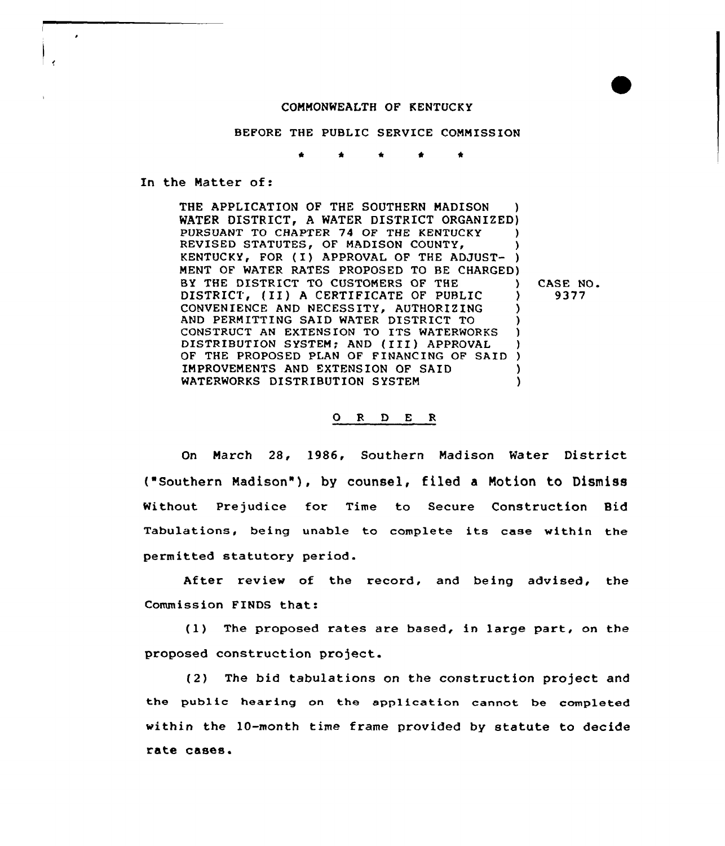## COMMONWEALTH OF KENTUCKY

BEFORE THE PUBLIC SERVICE COMMISSION

\* \*

In the Matter of:

THE APPLICATION OF THE SOUTHERN MADISON WATER DISTRICT, A WATER DISTRICT ORGANIZED) PURSUANT TO CHAPTER 74 OF THE KENTUCKY ) REVISED STATUTES, OF MADISON COUNTY, KENTUCKY, FOR ( I ) APPROVAL QF THE ADJUST- ) MENT OF WATER RATES PROPOSED TO BE CHARGED) BY THE DISTRICT TO CUSTOMERS OF THE  $\bigcup_{i=1}^{n}$  (II) A CERTIFICATE OF PUBLIC  $\bigcup_{i=1}^{n}$ DISTRICT, (II) <sup>A</sup> CERTIFICATE OF PUBLIC CONVENIENCE AND NECESSITY, AUTHORIZING AND PERMITTING SAID WATER DISTRICT TO ) CONSTRUCT AN EXTENSION TO ITS WATERWORKS DISTRIBUTION SYSTEM; AND (III) APPROVAL ) OF THE PROPOSED PLAN OF FINANCING OF SAID ) IMPROVEMENTS AND EXTENSION OF SAID ) WATERWORKS DISTRIBUTION SYSTEM CASE NO. 9377

## 0 <sup>R</sup> <sup>D</sup> <sup>E</sup> <sup>R</sup>

On March 28, 1986, Southern Madison Water District ("Southern Madison"), by counsel, filed a Motion to Dismiss Without Prejudice for Time to Secure Construction Bid Tabulations, being unable to complete its case within the permitted statutory period.

After review of the record, and being advised, the Commission FINDS that:

(1) The proposed rates are based, in large part, on the proposed construction project.

(2) The bid tabulations on the construction project and the public hearing on the application cannot be completed within the 10-month time frame provided by statute to decide rate cases.